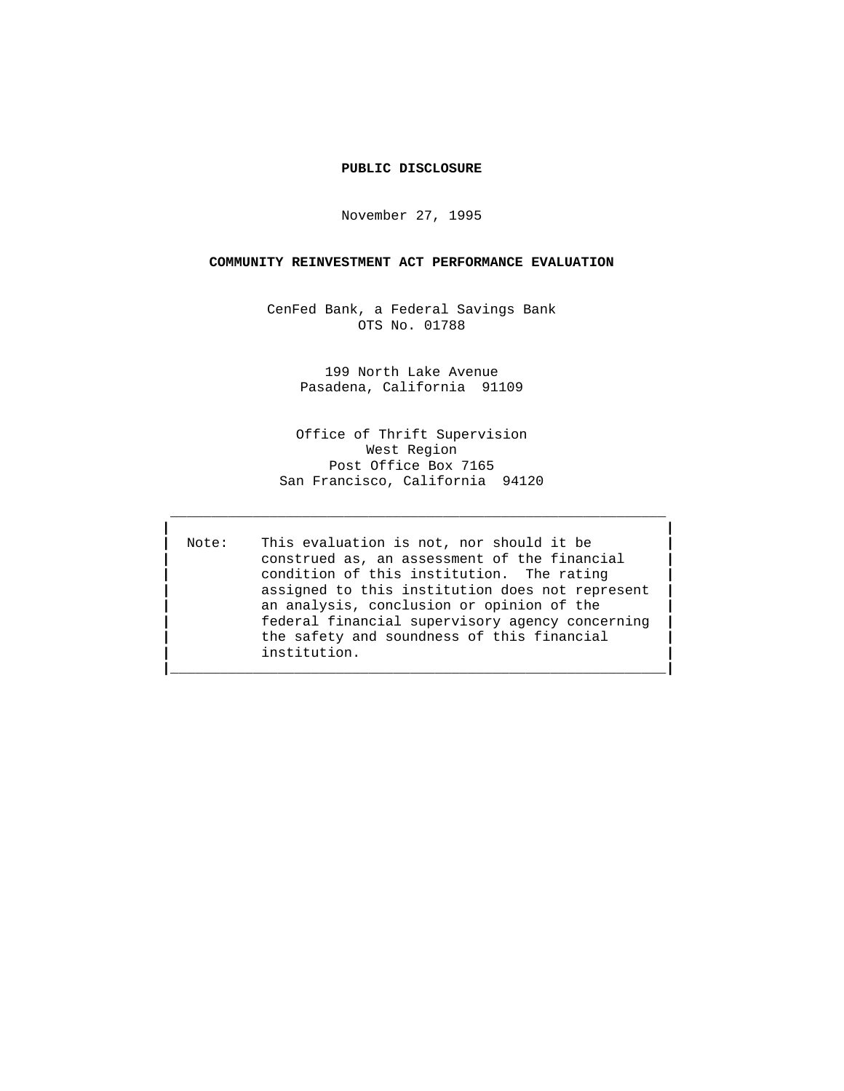## **PUBLIC DISCLOSURE**

November 27, 1995

### **COMMUNITY REINVESTMENT ACT PERFORMANCE EVALUATION**

CenFed Bank, a Federal Savings Bank OTS No. 01788

> 199 North Lake Avenue Pasadena, California 91109

Office of Thrift Supervision West Region Post Office Box 7165 San Francisco, California 94120

 **\_\_\_\_\_\_\_\_\_\_\_\_\_\_\_\_\_\_\_\_\_\_\_\_\_\_\_\_\_\_\_\_\_\_\_\_\_\_\_\_\_\_\_\_\_\_\_\_\_\_\_\_\_\_\_\_\_\_\_\_ | |**

**|\_\_\_\_\_\_\_\_\_\_\_\_\_\_\_\_\_\_\_\_\_\_\_\_\_\_\_\_\_\_\_\_\_\_\_\_\_\_\_\_\_\_\_\_\_\_\_\_\_\_\_\_\_\_\_\_\_\_\_\_|**

 **|** Note: This evaluation is not, nor should it be **| |** construed as, an assessment of the financial **| |** condition of this institution. The rating **| |** assigned to this institution does not represent **| |** an analysis, conclusion or opinion of the **| |** federal financial supervisory agency concerning **| |** the safety and soundness of this financial **| |** institution. **|**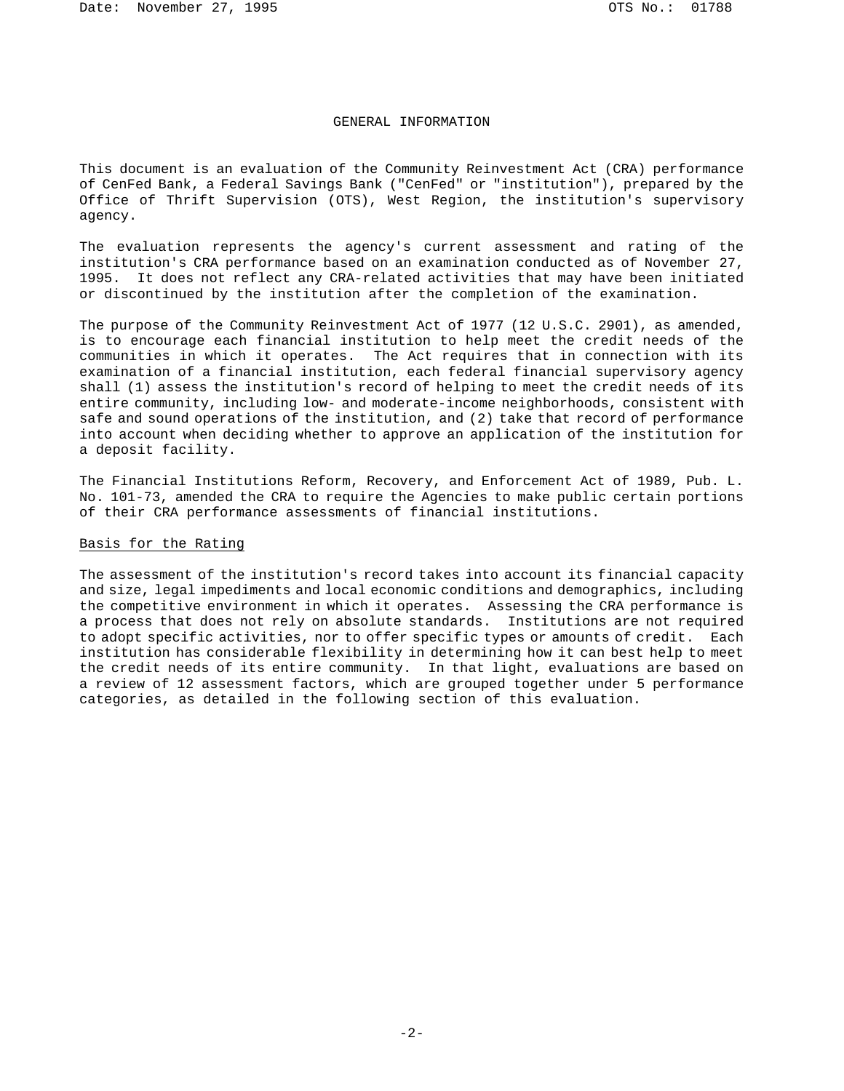## GENERAL INFORMATION

This document is an evaluation of the Community Reinvestment Act (CRA) performance of CenFed Bank, a Federal Savings Bank ("CenFed" or "institution"), prepared by the Office of Thrift Supervision (OTS), West Region, the institution's supervisory agency.

The evaluation represents the agency's current assessment and rating of the institution's CRA performance based on an examination conducted as of November 27, 1995. It does not reflect any CRA-related activities that may have been initiated or discontinued by the institution after the completion of the examination.

The purpose of the Community Reinvestment Act of 1977 (12 U.S.C. 2901), as amended, is to encourage each financial institution to help meet the credit needs of the communities in which it operates. The Act requires that in connection with its examination of a financial institution, each federal financial supervisory agency shall (1) assess the institution's record of helping to meet the credit needs of its entire community, including low- and moderate-income neighborhoods, consistent with safe and sound operations of the institution, and (2) take that record of performance into account when deciding whether to approve an application of the institution for a deposit facility.

The Financial Institutions Reform, Recovery, and Enforcement Act of 1989, Pub. L. No. 101-73, amended the CRA to require the Agencies to make public certain portions of their CRA performance assessments of financial institutions.

### Basis for the Rating

The assessment of the institution's record takes into account its financial capacity and size, legal impediments and local economic conditions and demographics, including the competitive environment in which it operates. Assessing the CRA performance is a process that does not rely on absolute standards. Institutions are not required to adopt specific activities, nor to offer specific types or amounts of credit. Each institution has considerable flexibility in determining how it can best help to meet the credit needs of its entire community. In that light, evaluations are based on a review of 12 assessment factors, which are grouped together under 5 performance categories, as detailed in the following section of this evaluation.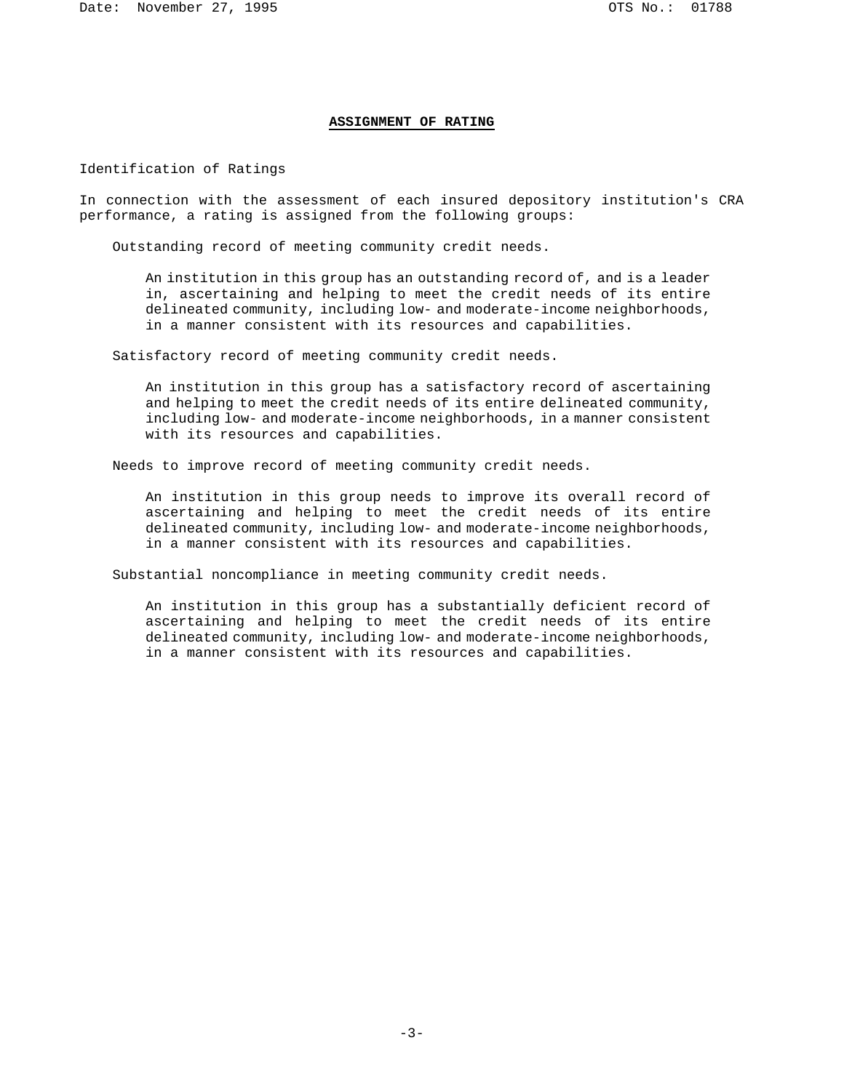### **ASSIGNMENT OF RATING**

Identification of Ratings

In connection with the assessment of each insured depository institution's CRA performance, a rating is assigned from the following groups:

Outstanding record of meeting community credit needs.

An institution in this group has an outstanding record of, and is a leader in, ascertaining and helping to meet the credit needs of its entire delineated community, including low- and moderate-income neighborhoods, in a manner consistent with its resources and capabilities.

Satisfactory record of meeting community credit needs.

An institution in this group has a satisfactory record of ascertaining and helping to meet the credit needs of its entire delineated community, including low- and moderate-income neighborhoods, in a manner consistent with its resources and capabilities.

Needs to improve record of meeting community credit needs.

An institution in this group needs to improve its overall record of ascertaining and helping to meet the credit needs of its entire delineated community, including low- and moderate-income neighborhoods, in a manner consistent with its resources and capabilities.

Substantial noncompliance in meeting community credit needs.

An institution in this group has a substantially deficient record of ascertaining and helping to meet the credit needs of its entire delineated community, including low- and moderate-income neighborhoods, in a manner consistent with its resources and capabilities.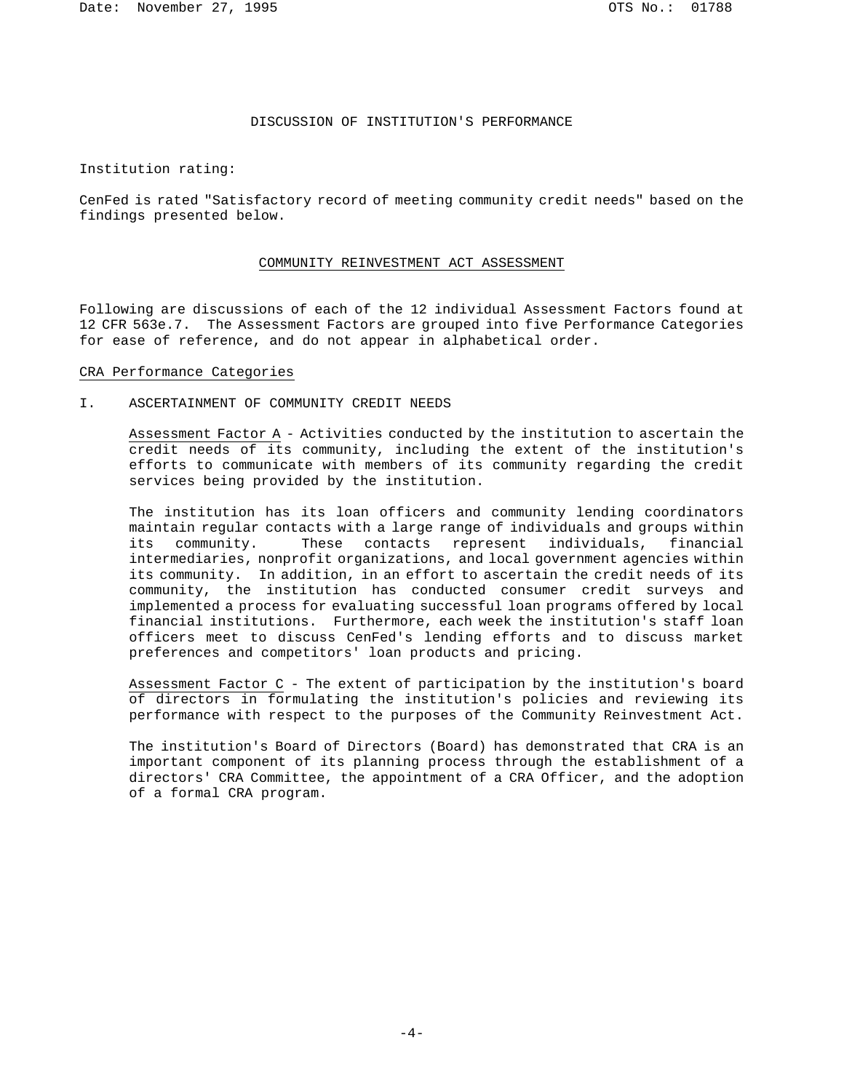## DISCUSSION OF INSTITUTION'S PERFORMANCE

Institution rating:

CenFed is rated "Satisfactory record of meeting community credit needs" based on the findings presented below.

#### COMMUNITY REINVESTMENT ACT ASSESSMENT

Following are discussions of each of the 12 individual Assessment Factors found at 12 CFR 563e.7. The Assessment Factors are grouped into five Performance Categories for ease of reference, and do not appear in alphabetical order.

### CRA Performance Categories

I. ASCERTAINMENT OF COMMUNITY CREDIT NEEDS

Assessment Factor A - Activities conducted by the institution to ascertain the credit needs of its community, including the extent of the institution's efforts to communicate with members of its community regarding the credit services being provided by the institution.

The institution has its loan officers and community lending coordinators maintain regular contacts with a large range of individuals and groups within<br>its community. These contacts represent individuals, financial These contacts represent individuals, financial intermediaries, nonprofit organizations, and local government agencies within its community. In addition, in an effort to ascertain the credit needs of its community, the institution has conducted consumer credit surveys and implemented a process for evaluating successful loan programs offered by local financial institutions. Furthermore, each week the institution's staff loan officers meet to discuss CenFed's lending efforts and to discuss market preferences and competitors' loan products and pricing.

Assessment Factor C - The extent of participation by the institution's board of directors in formulating the institution's policies and reviewing its performance with respect to the purposes of the Community Reinvestment Act.

The institution's Board of Directors (Board) has demonstrated that CRA is an important component of its planning process through the establishment of a directors' CRA Committee, the appointment of a CRA Officer, and the adoption of a formal CRA program.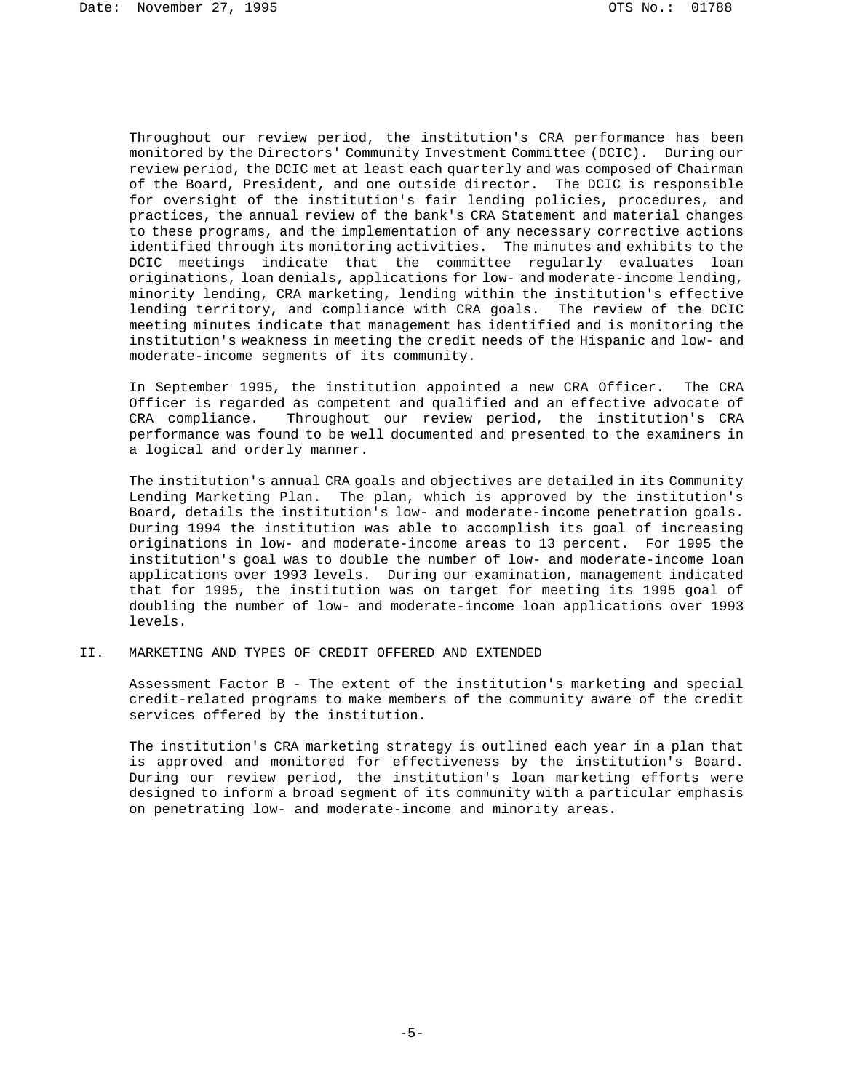Throughout our review period, the institution's CRA performance has been monitored by the Directors' Community Investment Committee (DCIC). During our review period, the DCIC met at least each quarterly and was composed of Chairman of the Board, President, and one outside director. The DCIC is responsible for oversight of the institution's fair lending policies, procedures, and practices, the annual review of the bank's CRA Statement and material changes to these programs, and the implementation of any necessary corrective actions identified through its monitoring activities. The minutes and exhibits to the DCIC meetings indicate that the committee regularly evaluates loan originations, loan denials, applications for low- and moderate-income lending, minority lending, CRA marketing, lending within the institution's effective lending territory, and compliance with CRA goals. The review of the DCIC meeting minutes indicate that management has identified and is monitoring the institution's weakness in meeting the credit needs of the Hispanic and low- and moderate-income segments of its community.

In September 1995, the institution appointed a new CRA Officer. The CRA Officer is regarded as competent and qualified and an effective advocate of CRA compliance. Throughout our review period, the institution's CRA performance was found to be well documented and presented to the examiners in a logical and orderly manner.

The institution's annual CRA goals and objectives are detailed in its Community Lending Marketing Plan. The plan, which is approved by the institution's Board, details the institution's low- and moderate-income penetration goals. During 1994 the institution was able to accomplish its goal of increasing originations in low- and moderate-income areas to 13 percent. For 1995 the institution's goal was to double the number of low- and moderate-income loan applications over 1993 levels. During our examination, management indicated that for 1995, the institution was on target for meeting its 1995 goal of doubling the number of low- and moderate-income loan applications over 1993 levels.

## II. MARKETING AND TYPES OF CREDIT OFFERED AND EXTENDED

Assessment Factor B - The extent of the institution's marketing and special credit-related programs to make members of the community aware of the credit services offered by the institution.

The institution's CRA marketing strategy is outlined each year in a plan that is approved and monitored for effectiveness by the institution's Board. During our review period, the institution's loan marketing efforts were designed to inform a broad segment of its community with a particular emphasis on penetrating low- and moderate-income and minority areas.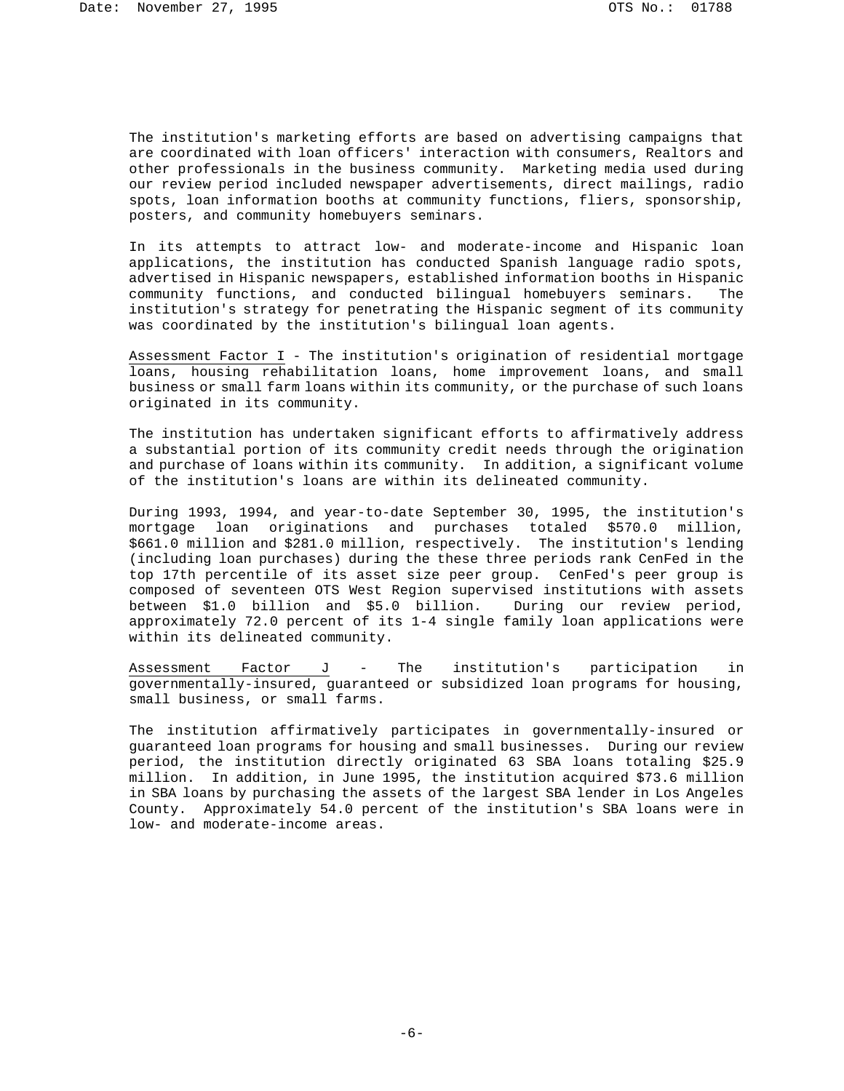The institution's marketing efforts are based on advertising campaigns that are coordinated with loan officers' interaction with consumers, Realtors and other professionals in the business community. Marketing media used during our review period included newspaper advertisements, direct mailings, radio spots, loan information booths at community functions, fliers, sponsorship, posters, and community homebuyers seminars.

In its attempts to attract low- and moderate-income and Hispanic loan applications, the institution has conducted Spanish language radio spots, advertised in Hispanic newspapers, established information booths in Hispanic community functions, and conducted bilingual homebuyers seminars. The institution's strategy for penetrating the Hispanic segment of its community was coordinated by the institution's bilingual loan agents.

Assessment Factor I - The institution's origination of residential mortgage loans, housing rehabilitation loans, home improvement loans, and small business or small farm loans within its community, or the purchase of such loans originated in its community.

The institution has undertaken significant efforts to affirmatively address a substantial portion of its community credit needs through the origination and purchase of loans within its community. In addition, a significant volume of the institution's loans are within its delineated community.

During 1993, 1994, and year-to-date September 30, 1995, the institution's mortgage loan originations and purchases totaled \$570.0 million, \$661.0 million and \$281.0 million, respectively. The institution's lending (including loan purchases) during the these three periods rank CenFed in the top 17th percentile of its asset size peer group. CenFed's peer group is composed of seventeen OTS West Region supervised institutions with assets between \$1.0 billion and \$5.0 billion. During our review period, approximately 72.0 percent of its 1-4 single family loan applications were within its delineated community.

Assessment Factor J - The institution's participation in governmentally-insured, guaranteed or subsidized loan programs for housing, small business, or small farms.

The institution affirmatively participates in governmentally-insured or guaranteed loan programs for housing and small businesses. During our review period, the institution directly originated 63 SBA loans totaling \$25.9 million. In addition, in June 1995, the institution acquired \$73.6 million in SBA loans by purchasing the assets of the largest SBA lender in Los Angeles County. Approximately 54.0 percent of the institution's SBA loans were in low- and moderate-income areas.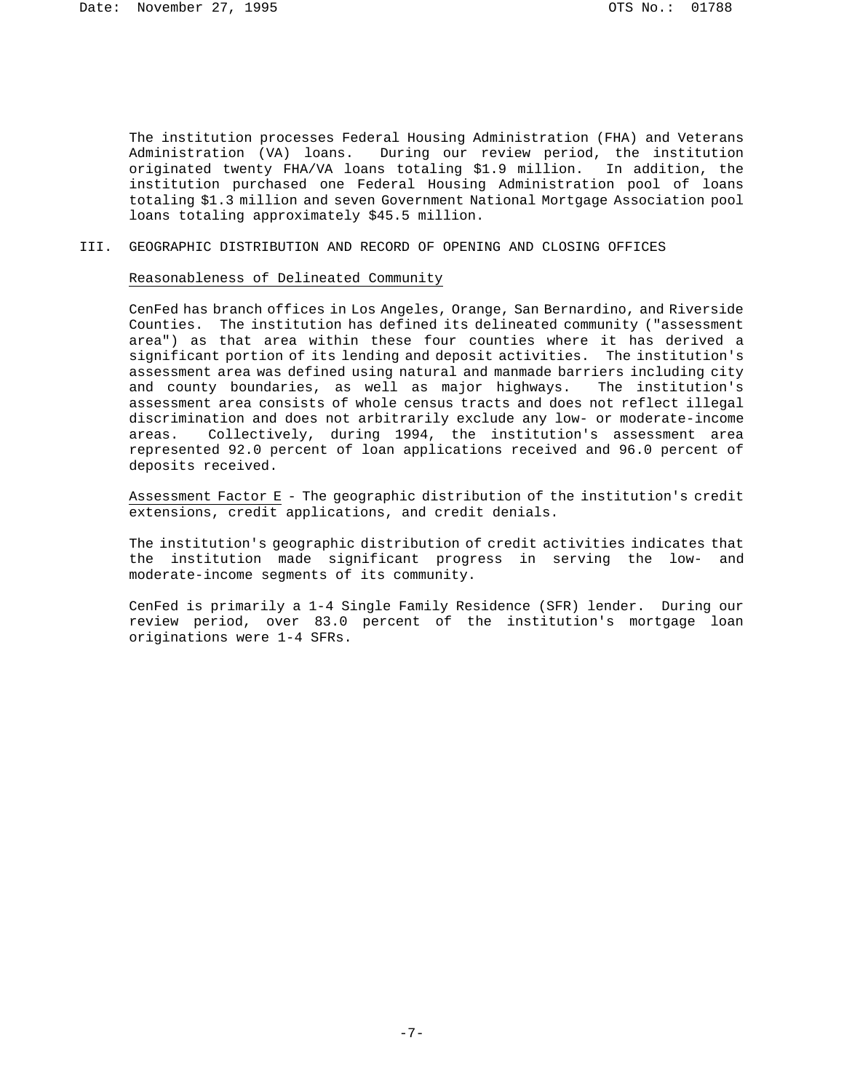The institution processes Federal Housing Administration (FHA) and Veterans Administration (VA) loans. During our review period, the institution originated twenty FHA/VA loans totaling \$1.9 million. In addition, the institution purchased one Federal Housing Administration pool of loans totaling \$1.3 million and seven Government National Mortgage Association pool loans totaling approximately \$45.5 million.

III. GEOGRAPHIC DISTRIBUTION AND RECORD OF OPENING AND CLOSING OFFICES

### Reasonableness of Delineated Community

CenFed has branch offices in Los Angeles, Orange, San Bernardino, and Riverside Counties. The institution has defined its delineated community ("assessment area") as that area within these four counties where it has derived a significant portion of its lending and deposit activities. The institution's assessment area was defined using natural and manmade barriers including city and county boundaries, as well as major highways. The institution's assessment area consists of whole census tracts and does not reflect illegal discrimination and does not arbitrarily exclude any low- or moderate-income areas. Collectively, during 1994, the institution's assessment area represented 92.0 percent of loan applications received and 96.0 percent of deposits received.

Assessment Factor E - The geographic distribution of the institution's credit extensions, credit applications, and credit denials.

The institution's geographic distribution of credit activities indicates that the institution made significant progress in serving the low- and moderate-income segments of its community.

CenFed is primarily a 1-4 Single Family Residence (SFR) lender. During our review period, over 83.0 percent of the institution's mortgage loan originations were 1-4 SFRs.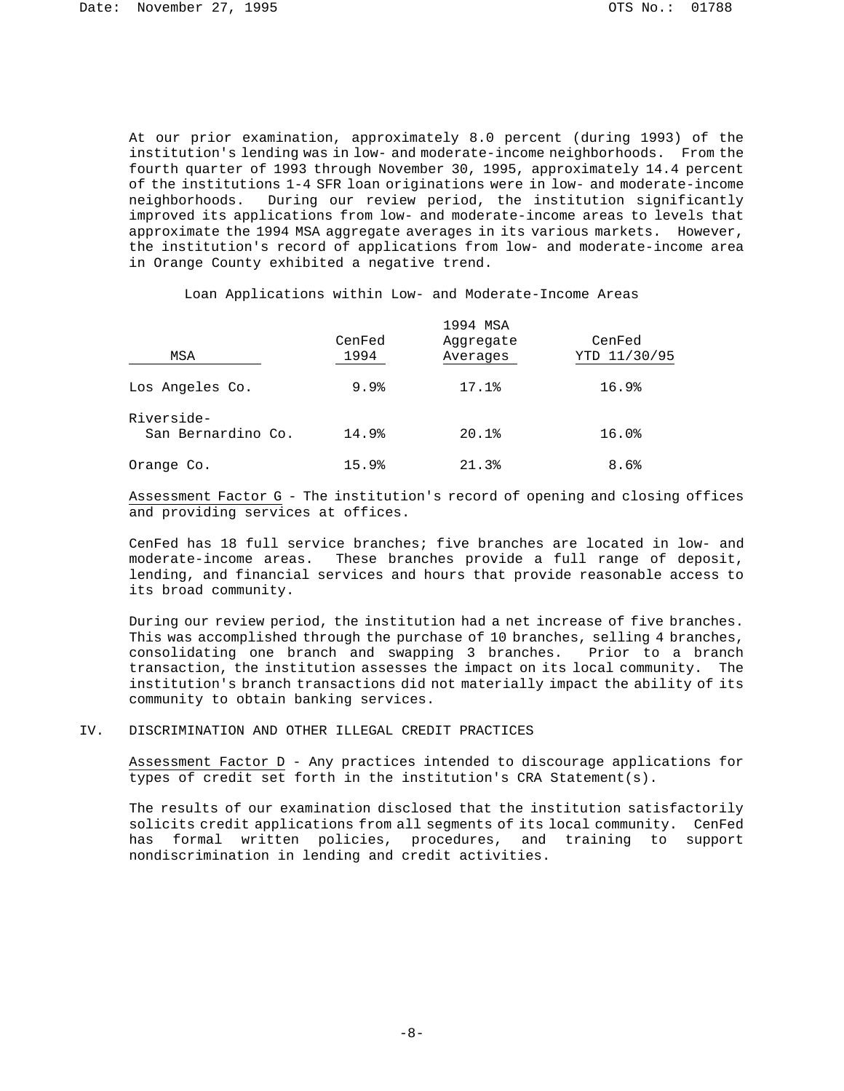At our prior examination, approximately 8.0 percent (during 1993) of the institution's lending was in low- and moderate-income neighborhoods. From the fourth quarter of 1993 through November 30, 1995, approximately 14.4 percent of the institutions 1-4 SFR loan originations were in low- and moderate-income neighborhoods. During our review period, the institution significantly improved its applications from low- and moderate-income areas to levels that approximate the 1994 MSA aggregate averages in its various markets. However, the institution's record of applications from low- and moderate-income area in Orange County exhibited a negative trend.

Loan Applications within Low- and Moderate-Income Areas

| MSA                              | CenFed<br>1994 | 1994 MSA<br>Aqqreqate<br>Averages | CenFed<br>YTD 11/30/95 |
|----------------------------------|----------------|-----------------------------------|------------------------|
| Los Angeles Co.                  | 9.9%           | 17.1%                             | 16.9%                  |
| Riverside-<br>San Bernardino Co. | 14.9%          | 20.1%                             | 16.0%                  |
| Orange Co.                       | 15.9%          | 21.3%                             | 8.6%                   |

Assessment Factor G - The institution's record of opening and closing offices and providing services at offices.

CenFed has 18 full service branches; five branches are located in low- and moderate-income areas. These branches provide a full range of deposit, lending, and financial services and hours that provide reasonable access to its broad community.

During our review period, the institution had a net increase of five branches. This was accomplished through the purchase of 10 branches, selling 4 branches, consolidating one branch and swapping 3 branches. Prior to a branch transaction, the institution assesses the impact on its local community. The institution's branch transactions did not materially impact the ability of its community to obtain banking services.

# IV. DISCRIMINATION AND OTHER ILLEGAL CREDIT PRACTICES

Assessment Factor D - Any practices intended to discourage applications for types of credit set forth in the institution's CRA Statement(s).

The results of our examination disclosed that the institution satisfactorily solicits credit applications from all segments of its local community. CenFed has formal written policies, procedures, and training to support nondiscrimination in lending and credit activities.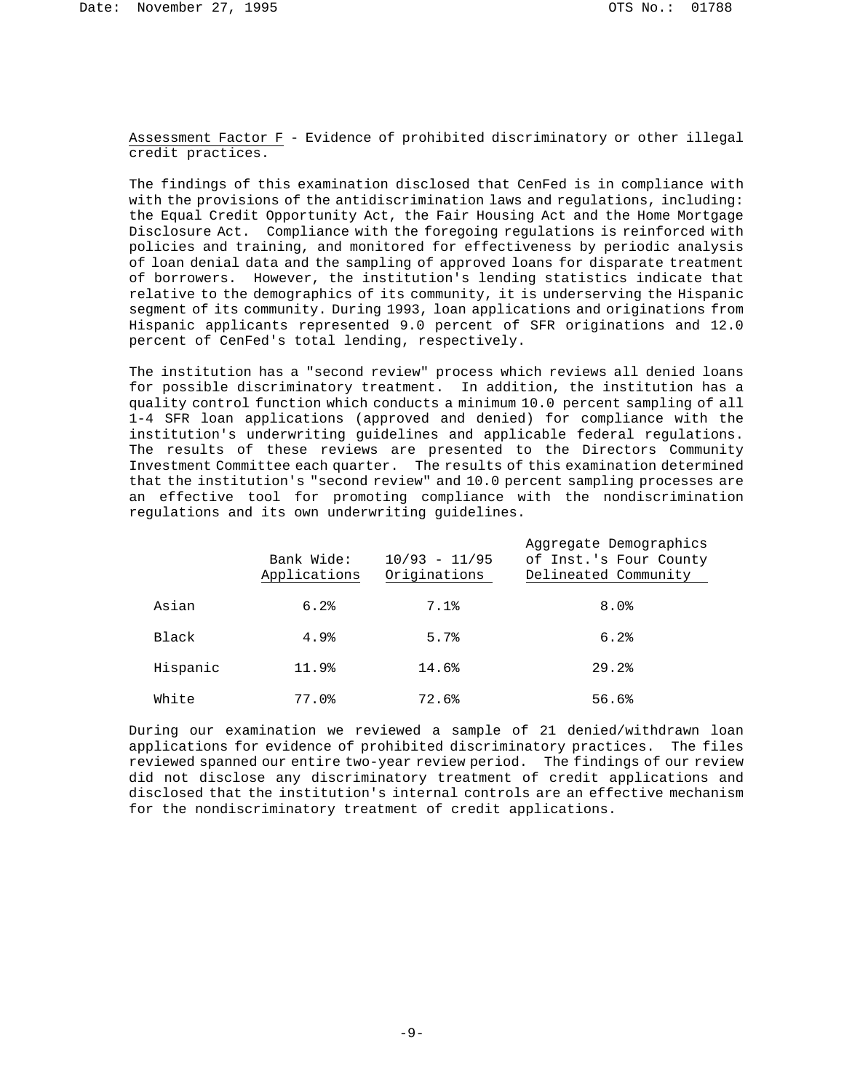Assessment Factor F - Evidence of prohibited discriminatory or other illegal credit practices.

The findings of this examination disclosed that CenFed is in compliance with with the provisions of the antidiscrimination laws and regulations, including: the Equal Credit Opportunity Act, the Fair Housing Act and the Home Mortgage Disclosure Act. Compliance with the foregoing regulations is reinforced with policies and training, and monitored for effectiveness by periodic analysis of loan denial data and the sampling of approved loans for disparate treatment of borrowers. However, the institution's lending statistics indicate that relative to the demographics of its community, it is underserving the Hispanic segment of its community. During 1993, loan applications and originations from Hispanic applicants represented 9.0 percent of SFR originations and 12.0 percent of CenFed's total lending, respectively.

The institution has a "second review" process which reviews all denied loans for possible discriminatory treatment. In addition, the institution has a quality control function which conducts a minimum 10.0 percent sampling of all 1-4 SFR loan applications (approved and denied) for compliance with the institution's underwriting guidelines and applicable federal regulations. The results of these reviews are presented to the Directors Community Investment Committee each quarter. The results of this examination determined that the institution's "second review" and 10.0 percent sampling processes are an effective tool for promoting compliance with the nondiscrimination regulations and its own underwriting guidelines.

|          | Bank Wide:<br>Applications | $10/93 - 11/95$<br>Originations | Aggregate Demographics<br>of Inst.'s Four County<br>Delineated Community |
|----------|----------------------------|---------------------------------|--------------------------------------------------------------------------|
| Asian    | 6.2%                       | 7.1%                            | 8.0%                                                                     |
| Black    | 4.9%                       | 5.7%                            | 6.2%                                                                     |
| Hispanic | 11.9%                      | 14.6%                           | 29.2%                                                                    |
| White    | 77.0%                      | 72.6%                           | 56.6%                                                                    |

During our examination we reviewed a sample of 21 denied/withdrawn loan applications for evidence of prohibited discriminatory practices. The files reviewed spanned our entire two-year review period. The findings of our review did not disclose any discriminatory treatment of credit applications and disclosed that the institution's internal controls are an effective mechanism for the nondiscriminatory treatment of credit applications.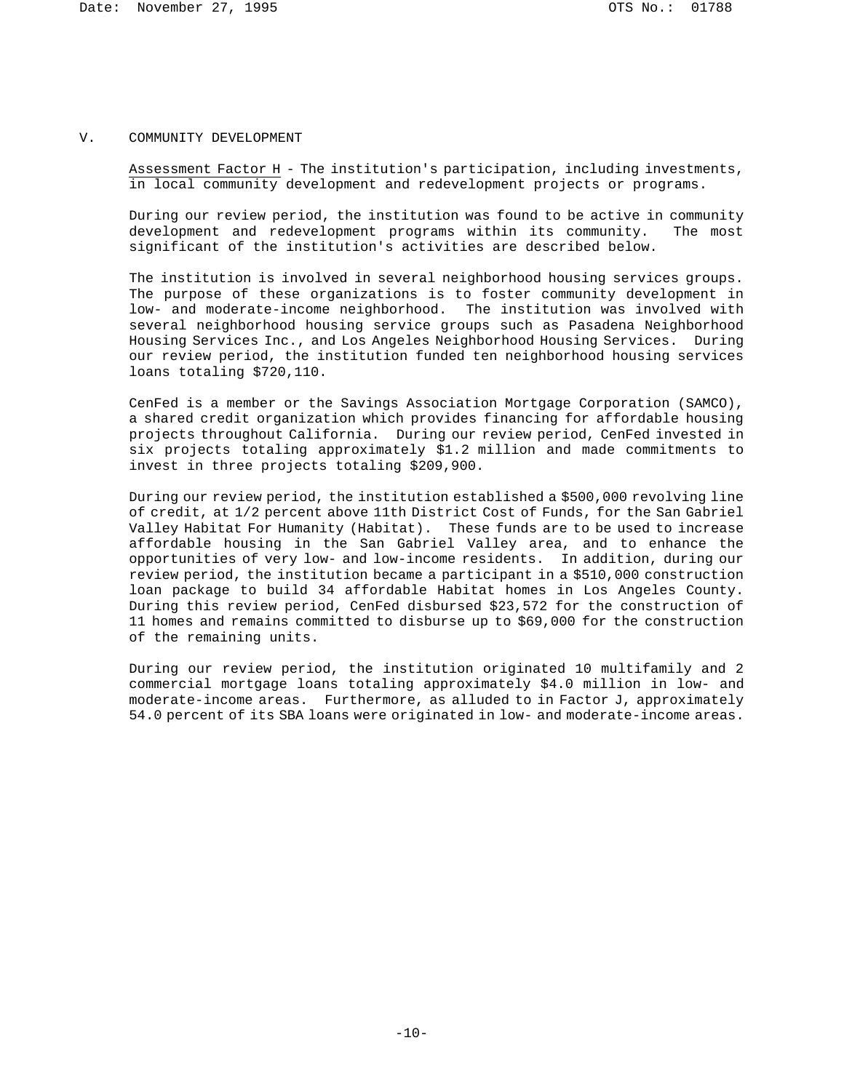#### V. COMMUNITY DEVELOPMENT

Assessment Factor H - The institution's participation, including investments, in local community development and redevelopment projects or programs.

During our review period, the institution was found to be active in community development and redevelopment programs within its community. The most development and redevelopment programs within its community. significant of the institution's activities are described below.

The institution is involved in several neighborhood housing services groups. The purpose of these organizations is to foster community development in low- and moderate-income neighborhood. The institution was involved with several neighborhood housing service groups such as Pasadena Neighborhood Housing Services Inc., and Los Angeles Neighborhood Housing Services. During our review period, the institution funded ten neighborhood housing services loans totaling \$720,110.

CenFed is a member or the Savings Association Mortgage Corporation (SAMCO), a shared credit organization which provides financing for affordable housing projects throughout California. During our review period, CenFed invested in six projects totaling approximately \$1.2 million and made commitments to invest in three projects totaling \$209,900.

During our review period, the institution established a \$500,000 revolving line of credit, at 1/2 percent above 11th District Cost of Funds, for the San Gabriel Valley Habitat For Humanity (Habitat). These funds are to be used to increase affordable housing in the San Gabriel Valley area, and to enhance the opportunities of very low- and low-income residents. In addition, during our review period, the institution became a participant in a \$510,000 construction loan package to build 34 affordable Habitat homes in Los Angeles County. During this review period, CenFed disbursed \$23,572 for the construction of 11 homes and remains committed to disburse up to \$69,000 for the construction of the remaining units.

During our review period, the institution originated 10 multifamily and 2 commercial mortgage loans totaling approximately \$4.0 million in low- and moderate-income areas. Furthermore, as alluded to in Factor J, approximately 54.0 percent of its SBA loans were originated in low- and moderate-income areas.